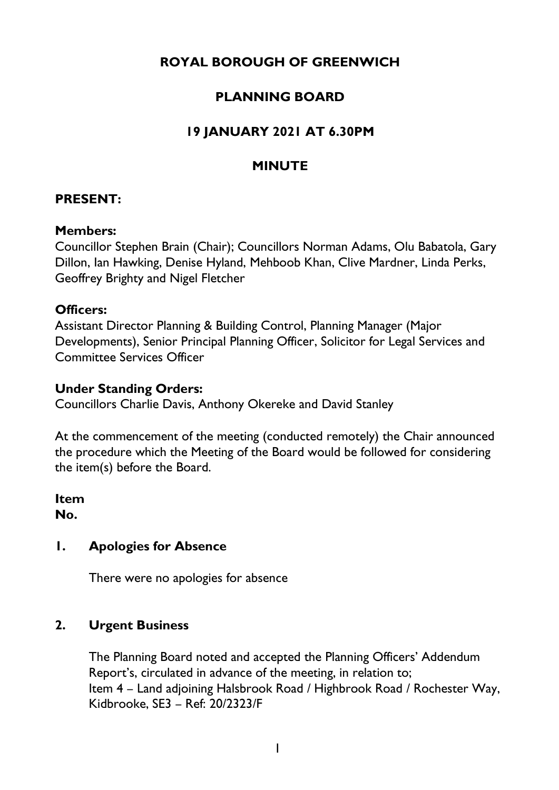# **ROYAL BOROUGH OF GREENWICH**

## **PLANNING BOARD**

# **19 JANUARY 2021 AT 6.30PM**

## **MINUTE**

## **PRESENT:**

#### **Members:**

Councillor Stephen Brain (Chair); Councillors Norman Adams, Olu Babatola, Gary Dillon, Ian Hawking, Denise Hyland, Mehboob Khan, Clive Mardner, Linda Perks, Geoffrey Brighty and Nigel Fletcher

#### **Officers:**

Assistant Director Planning & Building Control, Planning Manager (Major Developments), Senior Principal Planning Officer, Solicitor for Legal Services and Committee Services Officer

### **Under Standing Orders:**

Councillors Charlie Davis, Anthony Okereke and David Stanley

At the commencement of the meeting (conducted remotely) the Chair announced the procedure which the Meeting of the Board would be followed for considering the item(s) before the Board.

**Item No.** 

## **1. Apologies for Absence**

There were no apologies for absence

## **2. Urgent Business**

The Planning Board noted and accepted the Planning Officers' Addendum Report's, circulated in advance of the meeting, in relation to; Item 4 – Land adjoining Halsbrook Road / Highbrook Road / Rochester Way, Kidbrooke, SE3 – Ref: 20/2323/F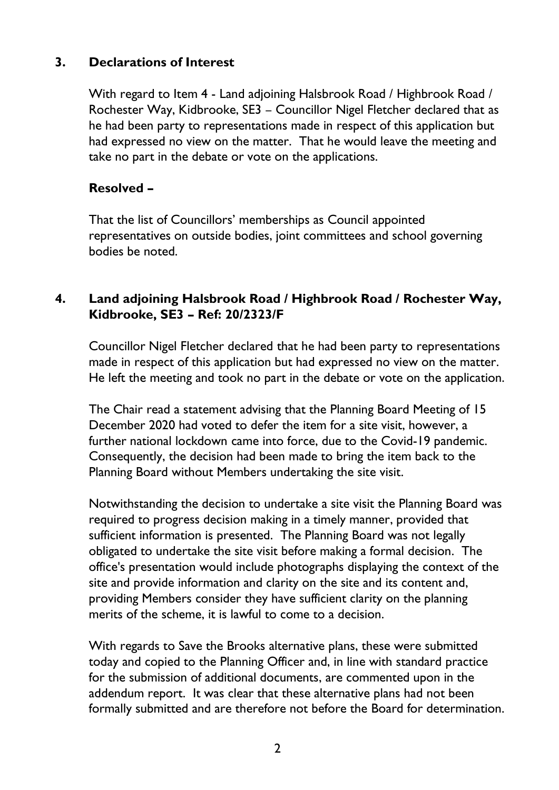## **3. Declarations of Interest**

With regard to Item 4 - Land adjoining Halsbrook Road / Highbrook Road / Rochester Way, Kidbrooke, SE3 – Councillor Nigel Fletcher declared that as he had been party to representations made in respect of this application but had expressed no view on the matter. That he would leave the meeting and take no part in the debate or vote on the applications.

## **Resolved –**

That the list of Councillors' memberships as Council appointed representatives on outside bodies, joint committees and school governing bodies be noted.

## **4. Land adjoining Halsbrook Road / Highbrook Road / Rochester Way, Kidbrooke, SE3 – Ref: 20/2323/F**

Councillor Nigel Fletcher declared that he had been party to representations made in respect of this application but had expressed no view on the matter. He left the meeting and took no part in the debate or vote on the application.

The Chair read a statement advising that the Planning Board Meeting of 15 December 2020 had voted to defer the item for a site visit, however, a further national lockdown came into force, due to the Covid-19 pandemic. Consequently, the decision had been made to bring the item back to the Planning Board without Members undertaking the site visit.

Notwithstanding the decision to undertake a site visit the Planning Board was required to progress decision making in a timely manner, provided that sufficient information is presented. The Planning Board was not legally obligated to undertake the site visit before making a formal decision. The office's presentation would include photographs displaying the context of the site and provide information and clarity on the site and its content and, providing Members consider they have sufficient clarity on the planning merits of the scheme, it is lawful to come to a decision.

With regards to Save the Brooks alternative plans, these were submitted today and copied to the Planning Officer and, in line with standard practice for the submission of additional documents, are commented upon in the addendum report. It was clear that these alternative plans had not been formally submitted and are therefore not before the Board for determination.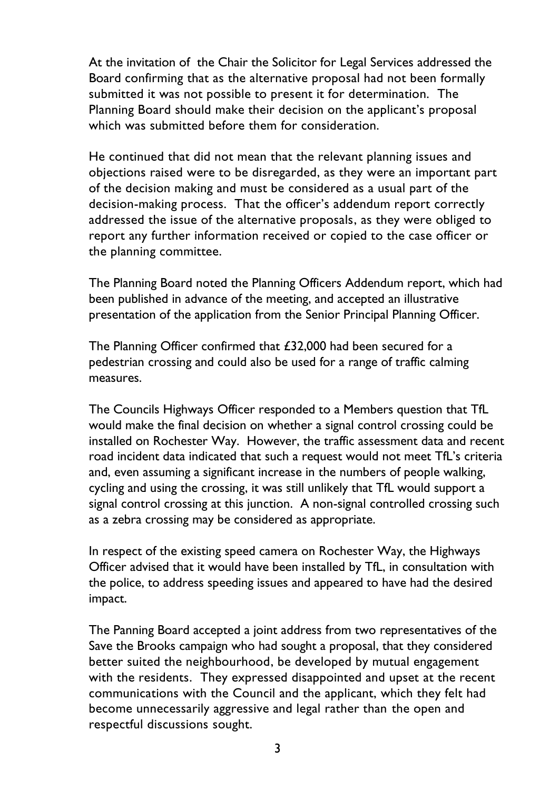At the invitation of the Chair the Solicitor for Legal Services addressed the Board confirming that as the alternative proposal had not been formally submitted it was not possible to present it for determination. The Planning Board should make their decision on the applicant's proposal which was submitted before them for consideration.

He continued that did not mean that the relevant planning issues and objections raised were to be disregarded, as they were an important part of the decision making and must be considered as a usual part of the decision-making process. That the officer's addendum report correctly addressed the issue of the alternative proposals, as they were obliged to report any further information received or copied to the case officer or the planning committee.

The Planning Board noted the Planning Officers Addendum report, which had been published in advance of the meeting, and accepted an illustrative presentation of the application from the Senior Principal Planning Officer.

The Planning Officer confirmed that £32,000 had been secured for a pedestrian crossing and could also be used for a range of traffic calming measures.

The Councils Highways Officer responded to a Members question that TfL would make the final decision on whether a signal control crossing could be installed on Rochester Way. However, the traffic assessment data and recent road incident data indicated that such a request would not meet TfL's criteria and, even assuming a significant increase in the numbers of people walking, cycling and using the crossing, it was still unlikely that TfL would support a signal control crossing at this junction. A non-signal controlled crossing such as a zebra crossing may be considered as appropriate.

In respect of the existing speed camera on Rochester Way, the Highways Officer advised that it would have been installed by TfL, in consultation with the police, to address speeding issues and appeared to have had the desired impact.

The Panning Board accepted a joint address from two representatives of the Save the Brooks campaign who had sought a proposal, that they considered better suited the neighbourhood, be developed by mutual engagement with the residents. They expressed disappointed and upset at the recent communications with the Council and the applicant, which they felt had become unnecessarily aggressive and legal rather than the open and respectful discussions sought.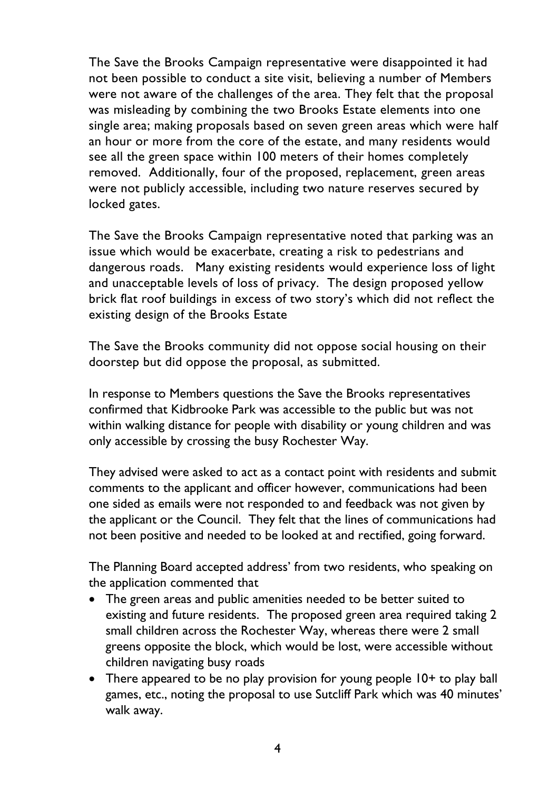The Save the Brooks Campaign representative were disappointed it had not been possible to conduct a site visit, believing a number of Members were not aware of the challenges of the area. They felt that the proposal was misleading by combining the two Brooks Estate elements into one single area; making proposals based on seven green areas which were half an hour or more from the core of the estate, and many residents would see all the green space within 100 meters of their homes completely removed. Additionally, four of the proposed, replacement, green areas were not publicly accessible, including two nature reserves secured by locked gates.

The Save the Brooks Campaign representative noted that parking was an issue which would be exacerbate, creating a risk to pedestrians and dangerous roads. Many existing residents would experience loss of light and unacceptable levels of loss of privacy. The design proposed yellow brick flat roof buildings in excess of two story's which did not reflect the existing design of the Brooks Estate

The Save the Brooks community did not oppose social housing on their doorstep but did oppose the proposal, as submitted.

In response to Members questions the Save the Brooks representatives confirmed that Kidbrooke Park was accessible to the public but was not within walking distance for people with disability or young children and was only accessible by crossing the busy Rochester Way.

They advised were asked to act as a contact point with residents and submit comments to the applicant and officer however, communications had been one sided as emails were not responded to and feedback was not given by the applicant or the Council. They felt that the lines of communications had not been positive and needed to be looked at and rectified, going forward.

The Planning Board accepted address' from two residents, who speaking on the application commented that

- The green areas and public amenities needed to be better suited to existing and future residents. The proposed green area required taking 2 small children across the Rochester Way, whereas there were 2 small greens opposite the block, which would be lost, were accessible without children navigating busy roads
- There appeared to be no play provision for young people 10+ to play ball games, etc., noting the proposal to use Sutcliff Park which was 40 minutes' walk away.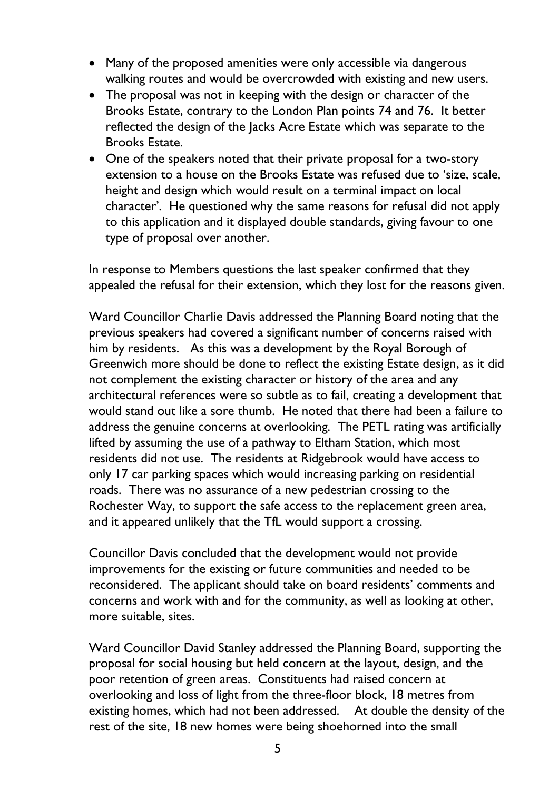- Many of the proposed amenities were only accessible via dangerous walking routes and would be overcrowded with existing and new users.
- The proposal was not in keeping with the design or character of the Brooks Estate, contrary to the London Plan points 74 and 76. It better reflected the design of the Jacks Acre Estate which was separate to the Brooks Estate.
- One of the speakers noted that their private proposal for a two-story extension to a house on the Brooks Estate was refused due to 'size, scale, height and design which would result on a terminal impact on local character'. He questioned why the same reasons for refusal did not apply to this application and it displayed double standards, giving favour to one type of proposal over another.

In response to Members questions the last speaker confirmed that they appealed the refusal for their extension, which they lost for the reasons given.

Ward Councillor Charlie Davis addressed the Planning Board noting that the previous speakers had covered a significant number of concerns raised with him by residents. As this was a development by the Royal Borough of Greenwich more should be done to reflect the existing Estate design, as it did not complement the existing character or history of the area and any architectural references were so subtle as to fail, creating a development that would stand out like a sore thumb. He noted that there had been a failure to address the genuine concerns at overlooking. The PETL rating was artificially lifted by assuming the use of a pathway to Eltham Station, which most residents did not use. The residents at Ridgebrook would have access to only 17 car parking spaces which would increasing parking on residential roads. There was no assurance of a new pedestrian crossing to the Rochester Way, to support the safe access to the replacement green area, and it appeared unlikely that the TfL would support a crossing.

Councillor Davis concluded that the development would not provide improvements for the existing or future communities and needed to be reconsidered. The applicant should take on board residents' comments and concerns and work with and for the community, as well as looking at other, more suitable, sites.

Ward Councillor David Stanley addressed the Planning Board, supporting the proposal for social housing but held concern at the layout, design, and the poor retention of green areas. Constituents had raised concern at overlooking and loss of light from the three-floor block, 18 metres from existing homes, which had not been addressed. At double the density of the rest of the site, 18 new homes were being shoehorned into the small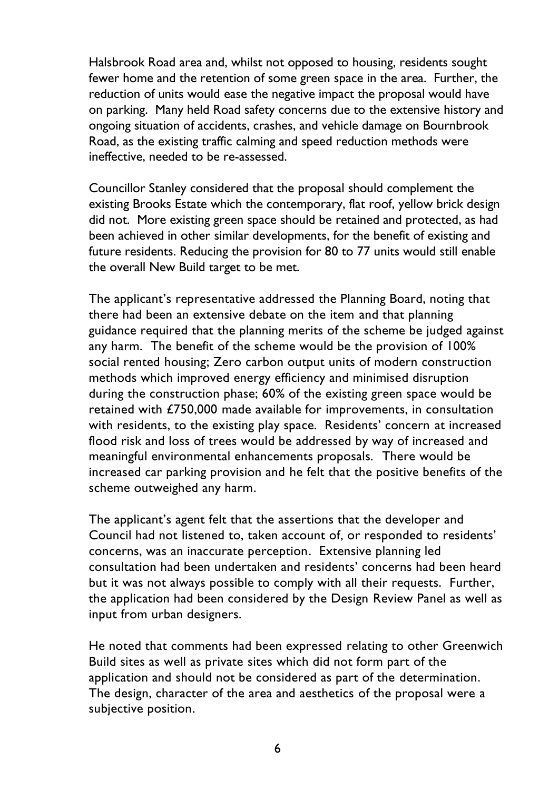Halsbrook Road area and, whilst not opposed to housing, residents sought fewer home and the retention of some green space in the area. Further, the reduction of units would ease the negative impact the proposal would have on parking. Many held Road safety concerns due to the extensive history and ongoing situation of accidents, crashes, and vehicle damage on Bournbrook Road, as the existing traffic calming and speed reduction methods were ineffective, needed to be re-assessed.

Councillor Stanley considered that the proposal should complement the existing Brooks Estate which the contemporary, flat roof, yellow brick design did not. More existing green space should be retained and protected, as had been achieved in other similar developments, for the benefit of existing and future residents. Reducing the provision for 80 to 77 units would still enable the overall New Build target to be met.

The applicant's representative addressed the Planning Board, noting that there had been an extensive debate on the item and that planning guidance required that the planning merits of the scheme be judged against any harm. The benefit of the scheme would be the provision of 100% social rented housing; Zero carbon output units of modern construction methods which improved energy efficiency and minimised disruption during the construction phase; 60% of the existing green space would be retained with £750,000 made available for improvements, in consultation with residents, to the existing play space. Residents' concern at increased flood risk and loss of trees would be addressed by way of increased and meaningful environmental enhancements proposals. There would be increased car parking provision and he felt that the positive benefits of the scheme outweighed any harm.

The applicant's agent felt that the assertions that the developer and Council had not listened to, taken account of, or responded to residents' concerns, was an inaccurate perception. Extensive planning led consultation had been undertaken and residents' concerns had been heard but it was not always possible to comply with all their requests. Further, the application had been considered by the Design Review Panel as well as input from urban designers.

He noted that comments had been expressed relating to other Greenwich Build sites as well as private sites which did not form part of the application and should not be considered as part of the determination. The design, character of the area and aesthetics of the proposal were a subjective position.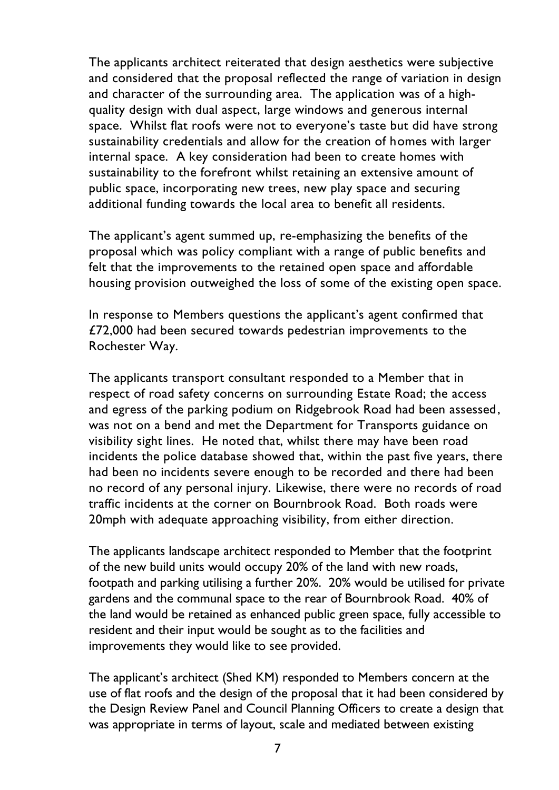The applicants architect reiterated that design aesthetics were subjective and considered that the proposal reflected the range of variation in design and character of the surrounding area. The application was of a highquality design with dual aspect, large windows and generous internal space. Whilst flat roofs were not to everyone's taste but did have strong sustainability credentials and allow for the creation of homes with larger internal space. A key consideration had been to create homes with sustainability to the forefront whilst retaining an extensive amount of public space, incorporating new trees, new play space and securing additional funding towards the local area to benefit all residents.

The applicant's agent summed up, re-emphasizing the benefits of the proposal which was policy compliant with a range of public benefits and felt that the improvements to the retained open space and affordable housing provision outweighed the loss of some of the existing open space.

In response to Members questions the applicant's agent confirmed that £72,000 had been secured towards pedestrian improvements to the Rochester Way.

The applicants transport consultant responded to a Member that in respect of road safety concerns on surrounding Estate Road; the access and egress of the parking podium on Ridgebrook Road had been assessed, was not on a bend and met the Department for Transports guidance on visibility sight lines. He noted that, whilst there may have been road incidents the police database showed that, within the past five years, there had been no incidents severe enough to be recorded and there had been no record of any personal injury. Likewise, there were no records of road traffic incidents at the corner on Bournbrook Road. Both roads were 20mph with adequate approaching visibility, from either direction.

The applicants landscape architect responded to Member that the footprint of the new build units would occupy 20% of the land with new roads, footpath and parking utilising a further 20%. 20% would be utilised for private gardens and the communal space to the rear of Bournbrook Road. 40% of the land would be retained as enhanced public green space, fully accessible to resident and their input would be sought as to the facilities and improvements they would like to see provided.

The applicant's architect (Shed KM) responded to Members concern at the use of flat roofs and the design of the proposal that it had been considered by the Design Review Panel and Council Planning Officers to create a design that was appropriate in terms of layout, scale and mediated between existing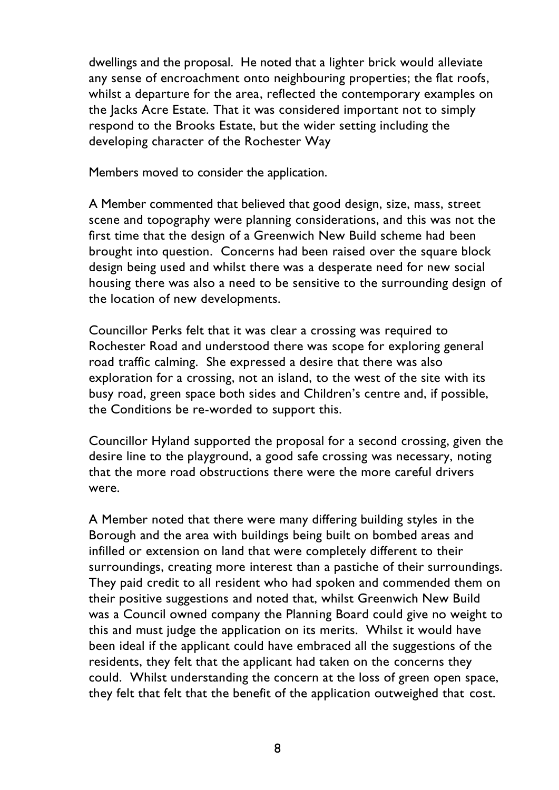dwellings and the proposal. He noted that a lighter brick would alleviate any sense of encroachment onto neighbouring properties; the flat roofs, whilst a departure for the area, reflected the contemporary examples on the Jacks Acre Estate. That it was considered important not to simply respond to the Brooks Estate, but the wider setting including the developing character of the Rochester Way

Members moved to consider the application.

A Member commented that believed that good design, size, mass, street scene and topography were planning considerations, and this was not the first time that the design of a Greenwich New Build scheme had been brought into question. Concerns had been raised over the square block design being used and whilst there was a desperate need for new social housing there was also a need to be sensitive to the surrounding design of the location of new developments.

Councillor Perks felt that it was clear a crossing was required to Rochester Road and understood there was scope for exploring general road traffic calming. She expressed a desire that there was also exploration for a crossing, not an island, to the west of the site with its busy road, green space both sides and Children's centre and, if possible, the Conditions be re-worded to support this.

Councillor Hyland supported the proposal for a second crossing, given the desire line to the playground, a good safe crossing was necessary, noting that the more road obstructions there were the more careful drivers were.

A Member noted that there were many differing building styles in the Borough and the area with buildings being built on bombed areas and infilled or extension on land that were completely different to their surroundings, creating more interest than a pastiche of their surroundings. They paid credit to all resident who had spoken and commended them on their positive suggestions and noted that, whilst Greenwich New Build was a Council owned company the Planning Board could give no weight to this and must judge the application on its merits. Whilst it would have been ideal if the applicant could have embraced all the suggestions of the residents, they felt that the applicant had taken on the concerns they could. Whilst understanding the concern at the loss of green open space, they felt that felt that the benefit of the application outweighed that cost.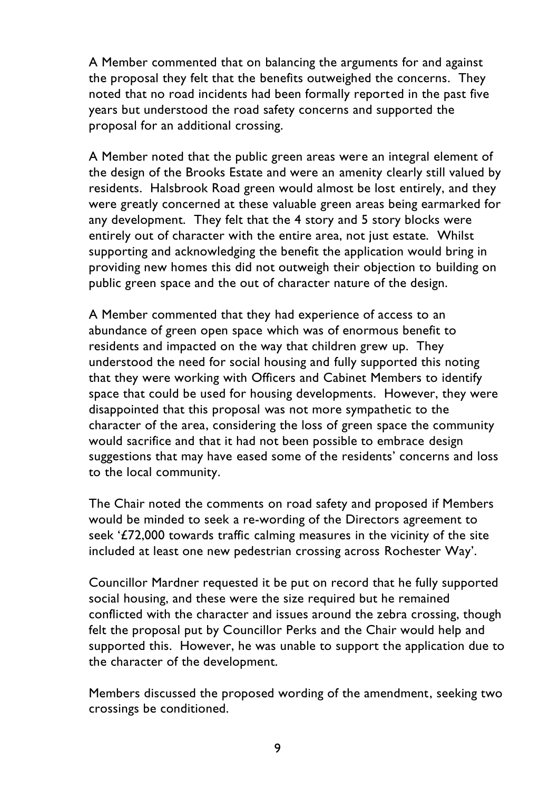A Member commented that on balancing the arguments for and against the proposal they felt that the benefits outweighed the concerns. They noted that no road incidents had been formally reported in the past five years but understood the road safety concerns and supported the proposal for an additional crossing.

A Member noted that the public green areas were an integral element of the design of the Brooks Estate and were an amenity clearly still valued by residents. Halsbrook Road green would almost be lost entirely, and they were greatly concerned at these valuable green areas being earmarked for any development. They felt that the 4 story and 5 story blocks were entirely out of character with the entire area, not just estate. Whilst supporting and acknowledging the benefit the application would bring in providing new homes this did not outweigh their objection to building on public green space and the out of character nature of the design.

A Member commented that they had experience of access to an abundance of green open space which was of enormous benefit to residents and impacted on the way that children grew up. They understood the need for social housing and fully supported this noting that they were working with Officers and Cabinet Members to identify space that could be used for housing developments. However, they were disappointed that this proposal was not more sympathetic to the character of the area, considering the loss of green space the community would sacrifice and that it had not been possible to embrace design suggestions that may have eased some of the residents' concerns and loss to the local community.

The Chair noted the comments on road safety and proposed if Members would be minded to seek a re-wording of the Directors agreement to seek '£72,000 towards traffic calming measures in the vicinity of the site included at least one new pedestrian crossing across Rochester Way'.

Councillor Mardner requested it be put on record that he fully supported social housing, and these were the size required but he remained conflicted with the character and issues around the zebra crossing, though felt the proposal put by Councillor Perks and the Chair would help and supported this. However, he was unable to support the application due to the character of the development.

Members discussed the proposed wording of the amendment, seeking two crossings be conditioned.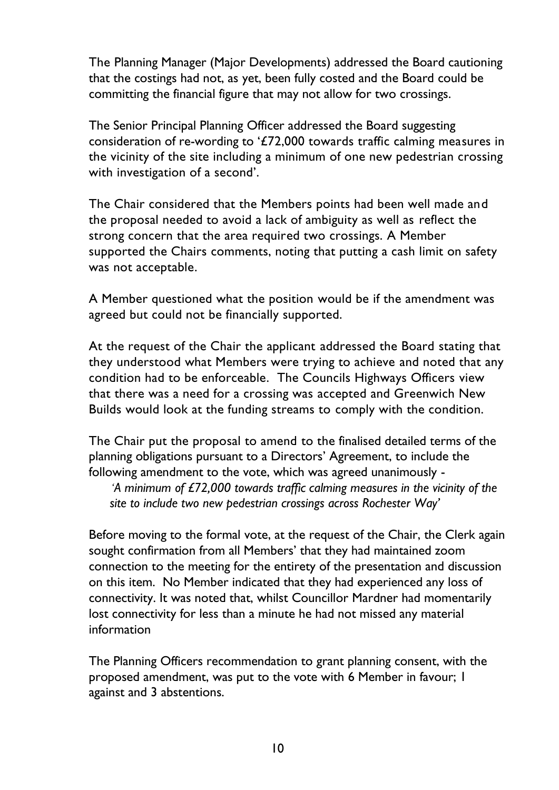The Planning Manager (Major Developments) addressed the Board cautioning that the costings had not, as yet, been fully costed and the Board could be committing the financial figure that may not allow for two crossings.

The Senior Principal Planning Officer addressed the Board suggesting consideration of re-wording to '£72,000 towards traffic calming measures in the vicinity of the site including a minimum of one new pedestrian crossing with investigation of a second'.

The Chair considered that the Members points had been well made and the proposal needed to avoid a lack of ambiguity as well as reflect the strong concern that the area required two crossings. A Member supported the Chairs comments, noting that putting a cash limit on safety was not acceptable.

A Member questioned what the position would be if the amendment was agreed but could not be financially supported.

At the request of the Chair the applicant addressed the Board stating that they understood what Members were trying to achieve and noted that any condition had to be enforceable. The Councils Highways Officers view that there was a need for a crossing was accepted and Greenwich New Builds would look at the funding streams to comply with the condition.

The Chair put the proposal to amend to the finalised detailed terms of the planning obligations pursuant to a Directors' Agreement, to include the following amendment to the vote, which was agreed unanimously -

*'A minimum of £72,000 towards traffic calming measures in the vicinity of the site to include two new pedestrian crossings across Rochester Way'*

Before moving to the formal vote, at the request of the Chair, the Clerk again sought confirmation from all Members' that they had maintained zoom connection to the meeting for the entirety of the presentation and discussion on this item. No Member indicated that they had experienced any loss of connectivity. It was noted that, whilst Councillor Mardner had momentarily lost connectivity for less than a minute he had not missed any material information

The Planning Officers recommendation to grant planning consent, with the proposed amendment, was put to the vote with 6 Member in favour; 1 against and 3 abstentions.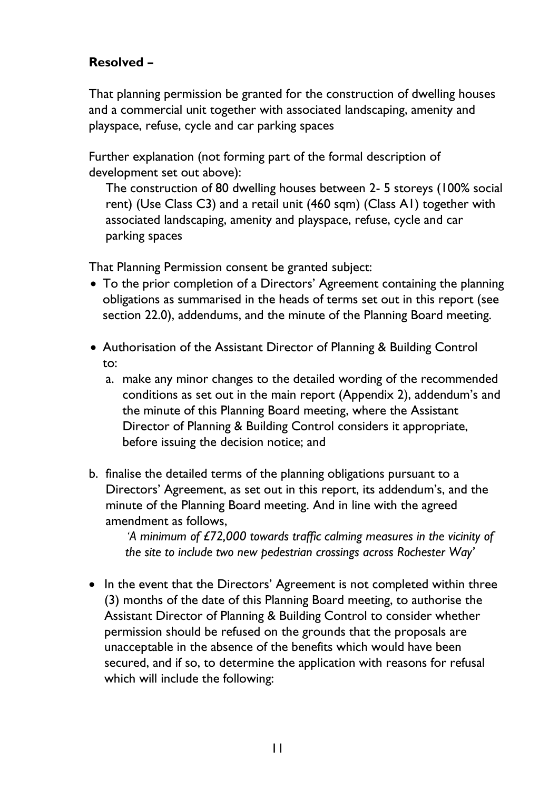## **Resolved –**

That planning permission be granted for the construction of dwelling houses and a commercial unit together with associated landscaping, amenity and playspace, refuse, cycle and car parking spaces

Further explanation (not forming part of the formal description of development set out above):

The construction of 80 dwelling houses between 2- 5 storeys (100% social rent) (Use Class C3) and a retail unit (460 sqm) (Class A1) together with associated landscaping, amenity and playspace, refuse, cycle and car parking spaces

That Planning Permission consent be granted subject:

- To the prior completion of a Directors' Agreement containing the planning obligations as summarised in the heads of terms set out in this report (see section 22.0), addendums, and the minute of the Planning Board meeting.
- Authorisation of the Assistant Director of Planning & Building Control to:
	- a. make any minor changes to the detailed wording of the recommended conditions as set out in the main report (Appendix 2), addendum's and the minute of this Planning Board meeting, where the Assistant Director of Planning & Building Control considers it appropriate, before issuing the decision notice; and
- b. finalise the detailed terms of the planning obligations pursuant to a Directors' Agreement, as set out in this report, its addendum's, and the minute of the Planning Board meeting. And in line with the agreed amendment as follows,

*'A minimum of £72,000 towards traffic calming measures in the vicinity of the site to include two new pedestrian crossings across Rochester Way'*

• In the event that the Directors' Agreement is not completed within three (3) months of the date of this Planning Board meeting, to authorise the Assistant Director of Planning & Building Control to consider whether permission should be refused on the grounds that the proposals are unacceptable in the absence of the benefits which would have been secured, and if so, to determine the application with reasons for refusal which will include the following: